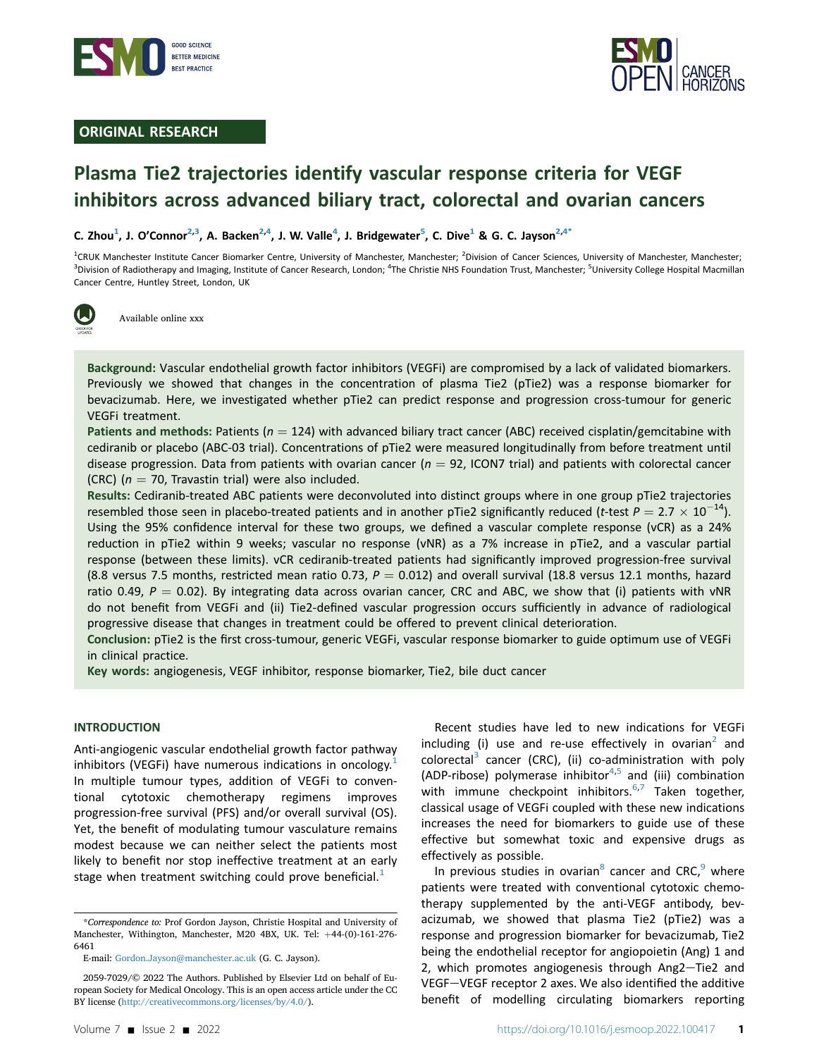



# ORIGINAL RESEARCH

# Plasma Tie2 trajectories identify vascular response criteria for VEGF inhibitors across advanced biliary tract, colorectal and ovarian cancers

C. Zhou<sup>[1](#page-0-0)</sup>, J. O'Connor<sup>[2](#page-0-0),3</sup>, A. Backen<sup>2[,4](#page-0-1)</sup>, J. W. Valle<sup>[4](#page-0-1)</sup>, J. Bridgewater<sup>[5](#page-0-1)</sup>, C. Dive<sup>1</sup> & G. C. Jayson<sup>2,4[\\*](#page-0-2)</sup>

<span id="page-0-1"></span><span id="page-0-0"></span><sup>1</sup>CRUK Manchester Institute Cancer Biomarker Centre, University of Manchester, Manchester; <sup>2</sup>Division of Cancer Sciences, University of Manchester, Manchester; <sup>3</sup>Division of Radiotherapy and Imaging, Institute of Cancer Research, London; <sup>4</sup>The Christie NHS Foundation Trust, Manchester; <sup>5</sup>University College Hospital Macmillan Cancer Centre, Huntley Street, London, UK

Available online xxx

Background: Vascular endothelial growth factor inhibitors (VEGFi) are compromised by a lack of validated biomarkers. Previously we showed that changes in the concentration of plasma Tie2 (pTie2) was a response biomarker for bevacizumab. Here, we investigated whether pTie2 can predict response and progression cross-tumour for generic VEGFi treatment.

Patients and methods: Patients ( $n = 124$ ) with advanced biliary tract cancer (ABC) received cisplatin/gemcitabine with cediranib or placebo (ABC-03 trial). Concentrations of pTie2 were measured longitudinally from before treatment until disease progression. Data from patients with ovarian cancer ( $n = 92$ , ICON7 trial) and patients with colorectal cancer (CRC) ( $n = 70$ , Travastin trial) were also included.

Results: Cediranib-treated ABC patients were deconvoluted into distinct groups where in one group pTie2 trajectories resembled those seen in placebo-treated patients and in another pTie2 significantly reduced (t-test  $P = 2.7 \times 10^{-14}$ ). Using the 95% confidence interval for these two groups, we defined a vascular complete response (vCR) as a 24% reduction in pTie2 within 9 weeks; vascular no response (vNR) as a 7% increase in pTie2, and a vascular partial response (between these limits). vCR cediranib-treated patients had significantly improved progression-free survival (8.8 versus 7.5 months, restricted mean ratio 0.73,  $P = 0.012$ ) and overall survival (18.8 versus 12.1 months, hazard ratio 0.49,  $P = 0.02$ ). By integrating data across ovarian cancer, CRC and ABC, we show that (i) patients with vNR do not benefit from VEGFi and (ii) Tie2-defined vascular progression occurs sufficiently in advance of radiological progressive disease that changes in treatment could be offered to prevent clinical deterioration.

Conclusion: pTie2 is the first cross-tumour, generic VEGFi, vascular response biomarker to guide optimum use of VEGFi in clinical practice.

Key words: angiogenesis, VEGF inhibitor, response biomarker, Tie2, bile duct cancer

#### INTRODUCTION

Anti-angiogenic vascular endothelial growth factor pathway inhibitors (VEGFi) have numerous indications in oncology. $<sup>1</sup>$  $<sup>1</sup>$  $<sup>1</sup>$ </sup> In multiple tumour types, addition of VEGFi to conventional cytotoxic chemotherapy regimens improves progression-free survival (PFS) and/or overall survival (OS). Yet, the benefit of modulating tumour vasculature remains modest because we can neither select the patients most likely to benefit nor stop ineffective treatment at an early stage when treatment switching could prove beneficial. $<sup>1</sup>$  $<sup>1</sup>$  $<sup>1</sup>$ </sup>

Recent studies have led to new indications for VEGFi including (i) use and re-use effectively in ovarian<sup>[2](#page-6-1)</sup> and colorectal<sup>[3](#page-6-2)</sup> cancer (CRC), (ii) co-administration with poly (ADP-ribose) polymerase inhibitor $4,5$  $4,5$  and (iii) combination with immune checkpoint inhibitors. $6,7$  $6,7$  Taken together, classical usage of VEGFi coupled with these new indications increases the need for biomarkers to guide use of these effective but somewhat toxic and expensive drugs as effectively as possible.

In previous studies in ovarian<sup>[8](#page-6-7)</sup> cancer and CRC, $9$  where patients were treated with conventional cytotoxic chemotherapy supplemented by the anti-VEGF antibody, bevacizumab, we showed that plasma Tie2 (pTie2) was a response and progression biomarker for bevacizumab, Tie2 being the endothelial receptor for angiopoietin (Ang) 1 and 2, which promotes angiogenesis through Ang2-Tie2 and VEGF-VEGF receptor 2 axes. We also identified the additive benefit of modelling circulating biomarkers reporting

<span id="page-0-2"></span><sup>\*</sup>Correspondence to: Prof Gordon Jayson, Christie Hospital and University of Manchester, Withington, Manchester, M20 4BX, UK. Tel: +44-(0)-161-276-6461

E-mail: [Gordon.Jayson@manchester.ac.uk](mailto:Gordon.Jayson@manchester.ac.uk) (G. C. Jayson).

<sup>2059-7029/© 2022</sup> The Authors. Published by Elsevier Ltd on behalf of European Society for Medical Oncology. This is an open access article under the CC BY license (<http://creativecommons.org/licenses/by/4.0/>).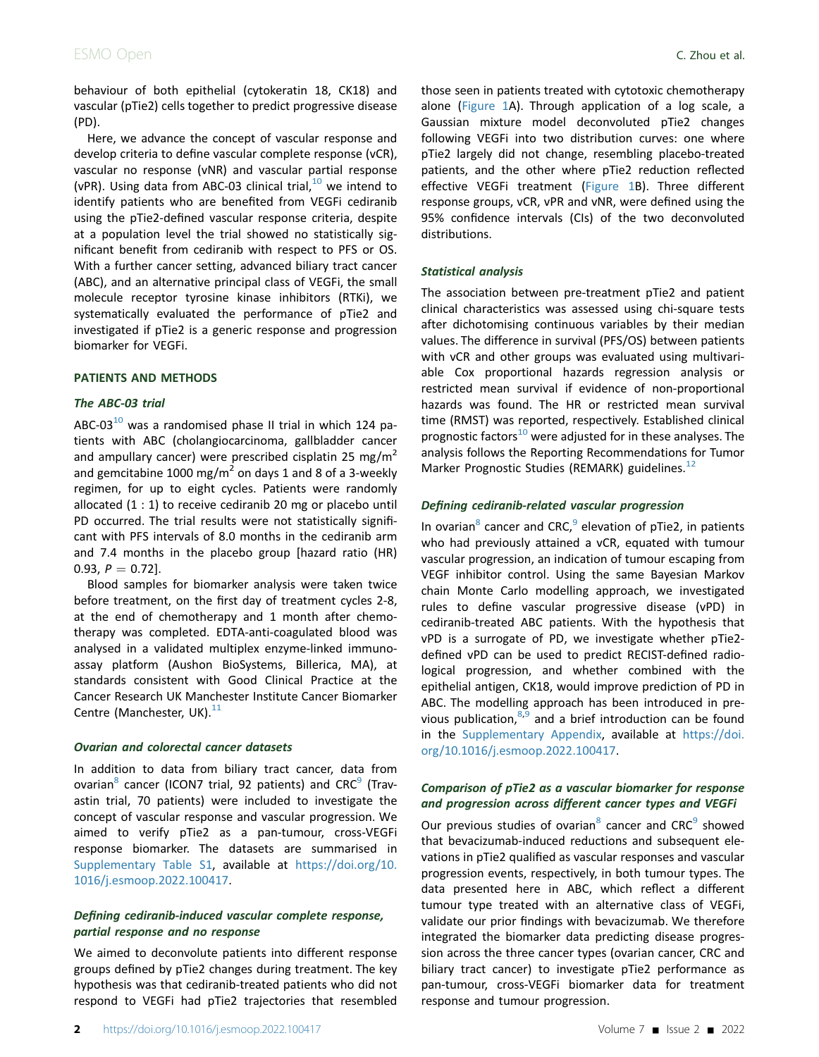behaviour of both epithelial (cytokeratin 18, CK18) and vascular (pTie2) cells together to predict progressive disease (PD).

Here, we advance the concept of vascular response and develop criteria to define vascular complete response (vCR), vascular no response (vNR) and vascular partial response (vPR). Using data from ABC-03 clinical trial, $^{10}$  $^{10}$  $^{10}$  we intend to identify patients who are benefited from VEGFi cediranib using the pTie2-defined vascular response criteria, despite at a population level the trial showed no statistically significant benefit from cediranib with respect to PFS or OS. With a further cancer setting, advanced biliary tract cancer (ABC), and an alternative principal class of VEGFi, the small molecule receptor tyrosine kinase inhibitors (RTKi), we systematically evaluated the performance of pTie2 and investigated if pTie2 is a generic response and progression biomarker for VEGFi.

### PATIENTS AND METHODS

### The ABC-03 trial

ABC-03 $^{10}$  $^{10}$  $^{10}$  was a randomised phase II trial in which 124 patients with ABC (cholangiocarcinoma, gallbladder cancer and ampullary cancer) were prescribed cisplatin 25 mg/m<sup>2</sup> and gemcitabine 1000 mg/m<sup>2</sup> on days 1 and 8 of a 3-weekly regimen, for up to eight cycles. Patients were randomly allocated (1 : 1) to receive cediranib 20 mg or placebo until PD occurred. The trial results were not statistically significant with PFS intervals of 8.0 months in the cediranib arm and 7.4 months in the placebo group [hazard ratio (HR) 0.93,  $P = 0.72$ ].

Blood samples for biomarker analysis were taken twice before treatment, on the first day of treatment cycles 2-8, at the end of chemotherapy and 1 month after chemotherapy was completed. EDTA-anti-coagulated blood was analysed in a validated multiplex enzyme-linked immunoassay platform (Aushon BioSystems, Billerica, MA), at standards consistent with Good Clinical Practice at the Cancer Research UK Manchester Institute Cancer Biomarker Centre (Manchester, UK). $^{11}$  $^{11}$  $^{11}$ 

#### Ovarian and colorectal cancer datasets

In addition to data from biliary tract cancer, data from ovarian<sup>8</sup> cancer (ICON7 trial, [9](#page-6-8)2 patients) and  $CRC<sup>9</sup>$  (Travastin trial, 70 patients) were included to investigate the concept of vascular response and vascular progression. We aimed to verify pTie2 as a pan-tumour, cross-VEGFi response biomarker. The datasets are summarised in Supplementary Table S1, available at [https://doi.org/10.](https://doi.org/10.1016/j.esmoop.2022.100417) [1016/j.esmoop.2022.100417.](https://doi.org/10.1016/j.esmoop.2022.100417)

## Defining cediranib-induced vascular complete response, partial response and no response

We aimed to deconvolute patients into different response groups defined by pTie2 changes during treatment. The key hypothesis was that cediranib-treated patients who did not respond to VEGFi had pTie2 trajectories that resembled those seen in patients treated with cytotoxic chemotherapy alone [\(Figure 1A](#page-2-0)). Through application of a log scale, a Gaussian mixture model deconvoluted pTie2 changes following VEGFi into two distribution curves: one where pTie2 largely did not change, resembling placebo-treated patients, and the other where pTie2 reduction reflected effective VEGFi treatment [\(Figure 1B](#page-2-0)). Three different response groups, vCR, vPR and vNR, were defined using the 95% confidence intervals (CIs) of the two deconvoluted distributions.

#### Statistical analysis

The association between pre-treatment pTie2 and patient clinical characteristics was assessed using chi-square tests after dichotomising continuous variables by their median values. The difference in survival (PFS/OS) between patients with vCR and other groups was evaluated using multivariable Cox proportional hazards regression analysis or restricted mean survival if evidence of non-proportional hazards was found. The HR or restricted mean survival time (RMST) was reported, respectively. Established clinical prognostic factors $^{10}$  $^{10}$  $^{10}$  were adjusted for in these analyses. The analysis follows the Reporting Recommendations for Tumor Marker Prognostic Studies (REMARK) guidelines.<sup>[12](#page-6-11)</sup>

### Defining cediranib-related vascular progression

In ovarian<sup>[8](#page-6-7)</sup> cancer and CRC,  $9$  elevation of pTie2, in patients who had previously attained a vCR, equated with tumour vascular progression, an indication of tumour escaping from VEGF inhibitor control. Using the same Bayesian Markov chain Monte Carlo modelling approach, we investigated rules to define vascular progressive disease (vPD) in cediranib-treated ABC patients. With the hypothesis that vPD is a surrogate of PD, we investigate whether pTie2 defined vPD can be used to predict RECIST-defined radiological progression, and whether combined with the epithelial antigen, CK18, would improve prediction of PD in ABC. The modelling approach has been introduced in previous publication, $8,9$  $8,9$  and a brief introduction can be found in the Supplementary Appendix, available at [https://doi.](https://doi.org/10.1016/j.esmoop.2022.100417) [org/10.1016/j.esmoop.2022.100417.](https://doi.org/10.1016/j.esmoop.2022.100417)

## Comparison of pTie2 as a vascular biomarker for response and progression across different cancer types and VEGFi

Our previous studies of ovarian $8$  cancer and CRC $9$  showed that bevacizumab-induced reductions and subsequent elevations in pTie2 qualified as vascular responses and vascular progression events, respectively, in both tumour types. The data presented here in ABC, which reflect a different tumour type treated with an alternative class of VEGFi, validate our prior findings with bevacizumab. We therefore integrated the biomarker data predicting disease progression across the three cancer types (ovarian cancer, CRC and biliary tract cancer) to investigate pTie2 performance as pan-tumour, cross-VEGFi biomarker data for treatment response and tumour progression.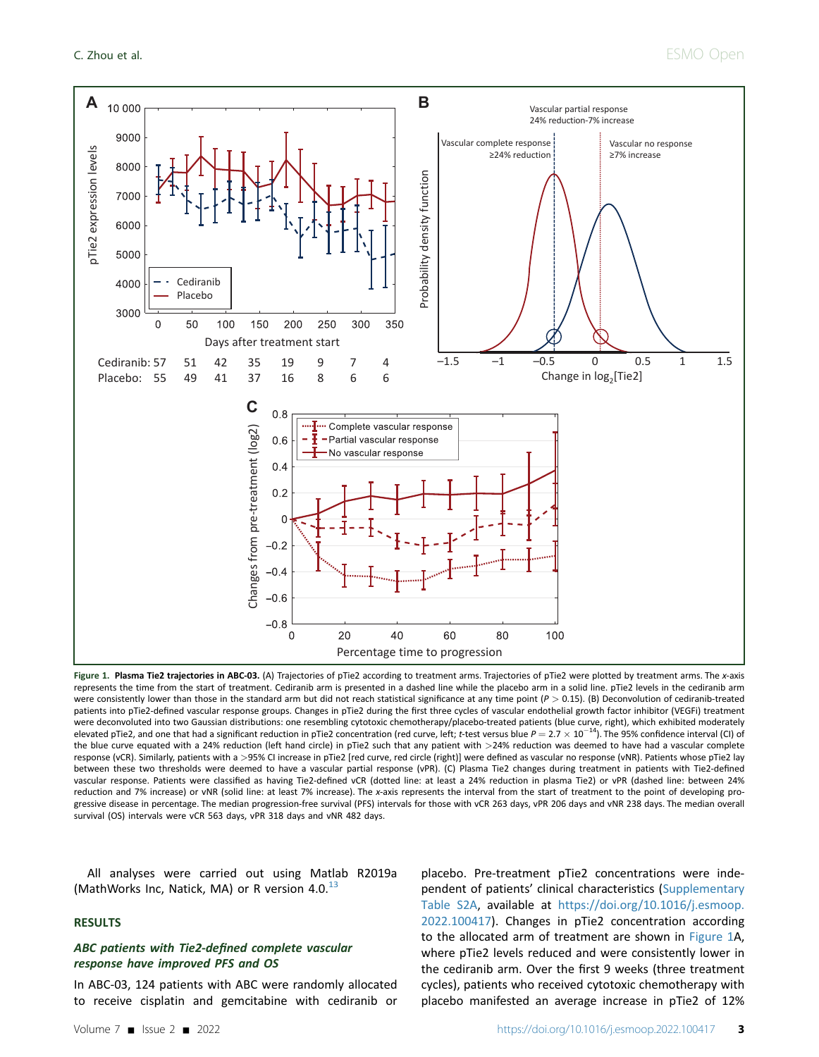<span id="page-2-0"></span>

Figure 1. Plasma Tie2 trajectories in ABC-03. (A) Trajectories of pTie2 according to treatment arms. Trajectories of pTie2 were plotted by treatment arms. The x-axis represents the time from the start of treatment. Cediranib arm is presented in a dashed line while the placebo arm in a solid line. pTie2 levels in the cediranib arm were consistently lower than those in the standard arm but did not reach statistical significance at any time point  $(P > 0.15)$ . (B) Deconvolution of cediranib-treated patients into pTie2-defined vascular response groups. Changes in pTie2 during the first three cycles of vascular endothelial growth factor inhibitor (VEGFi) treatment were deconvoluted into two Gaussian distributions: one resembling cytotoxic chemotherapy/placebo-treated patients (blue curve, right), which exhibited moderately elevated pTie2, and one that had a significant reduction in pTie2 concentration (red curve, left; t-test versus blue  $P = 2.7 \times 10^{-14}$ ). The 95% confidence interval (CI) of the blue curve equated with a 24% reduction (left hand circle) in pTie2 such that any patient with >24% reduction was deemed to have had a vascular complete response (vCR). Similarly, patients with a >95% CI increase in pTie2 [red curve, red circle (right)] were defined as vascular no response (vNR). Patients whose pTie2 lay between these two thresholds were deemed to have a vascular partial response (vPR). (C) Plasma Tie2 changes during treatment in patients with Tie2-defined vascular response. Patients were classified as having Tie2-defined vCR (dotted line: at least a 24% reduction in plasma Tie2) or vPR (dashed line: between 24% reduction and 7% increase) or vNR (solid line: at least 7% increase). The x-axis represents the interval from the start of treatment to the point of developing progressive disease in percentage. The median progression-free survival (PFS) intervals for those with vCR 263 days, vPR 206 days and vNR 238 days. The median overall survival (OS) intervals were vCR 563 days, vPR 318 days and vNR 482 days.

All analyses were carried out using Matlab R2019a (MathWorks Inc, Natick, MA) or R version  $4.0<sup>13</sup>$  $4.0<sup>13</sup>$  $4.0<sup>13</sup>$ 

#### RESULTS

## ABC patients with Tie2-defined complete vascular response have improved PFS and OS

In ABC-03, 124 patients with ABC were randomly allocated to receive cisplatin and gemcitabine with cediranib or

placebo. Pre-treatment pTie2 concentrations were independent of patients' clinical characteristics (Supplementary Table S2A, available at [https://doi.org/10.1016/j.esmoop.](https://doi.org/10.1016/j.esmoop.2022.100417) [2022.100417\)](https://doi.org/10.1016/j.esmoop.2022.100417). Changes in pTie2 concentration according to the allocated arm of treatment are shown in [Figure 1A](#page-2-0), where pTie2 levels reduced and were consistently lower in the cediranib arm. Over the first 9 weeks (three treatment cycles), patients who received cytotoxic chemotherapy with placebo manifested an average increase in pTie2 of 12%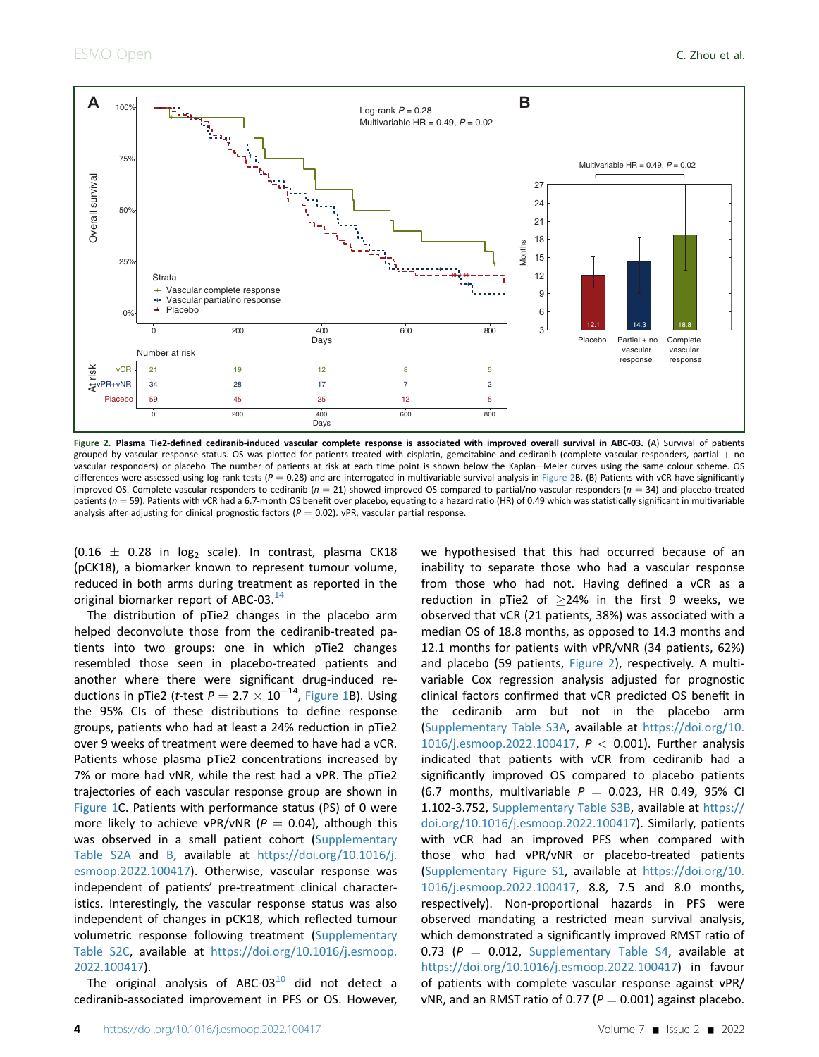<span id="page-3-0"></span>

Figure 2. Plasma Tie2-defined cediranib-induced vascular complete response is associated with improved overall survival in ABC-03. (A) Survival of patients grouped by vascular response status. OS was plotted for patients treated with cisplatin, gemcitabine and cediranib (complete vascular responders, partial  $+$  no vascular responders) or placebo. The number of patients at risk at each time point is shown below the Kaplan–Meier curves using the same colour scheme. OS differences were assessed using log-rank tests ( $P = 0.28$ ) and are interrogated in multivariable survival analysis in [Figure 2](#page-3-0)B. (B) Patients with vCR have significantly improved OS. Complete vascular responders to cediranib ( $n = 21$ ) showed improved OS compared to partial/no vascular responders ( $n = 34$ ) and placebo-treated patients ( $n = 59$ ). Patients with vCR had a 6.7-month OS benefit over placebo, equating to a hazard ratio (HR) of 0.49 which was statistically significant in multivariable analysis after adjusting for clinical prognostic factors ( $P = 0.02$ ). vPR, vascular partial response.

 $(0.16 \pm 0.28$  in log<sub>2</sub> scale). In contrast, plasma CK18 (pCK18), a biomarker known to represent tumour volume, reduced in both arms during treatment as reported in the original biomarker report of ABC-03.<sup>[14](#page-6-13)</sup>

The distribution of pTie2 changes in the placebo arm helped deconvolute those from the cediranib-treated patients into two groups: one in which pTie2 changes resembled those seen in placebo-treated patients and another where there were significant drug-induced reductions in pTie2 (*t*-test  $P = 2.7 \times 10^{-14}$ , [Figure 1](#page-2-0)B). Using the 95% CIs of these distributions to define response groups, patients who had at least a 24% reduction in pTie2 over 9 weeks of treatment were deemed to have had a vCR. Patients whose plasma pTie2 concentrations increased by 7% or more had vNR, while the rest had a vPR. The pTie2 trajectories of each vascular response group are shown in [Figure 1](#page-2-0)C. Patients with performance status (PS) of 0 were more likely to achieve vPR/vNR ( $P = 0.04$ ), although this was observed in a small patient cohort (Supplementary Table S2A and B, available at [https://doi.org/10.1016/j.](https://doi.org/10.1016/j.esmoop.2022.100417) [esmoop.2022.100417](https://doi.org/10.1016/j.esmoop.2022.100417)). Otherwise, vascular response was independent of patients' pre-treatment clinical characteristics. Interestingly, the vascular response status was also independent of changes in pCK18, which reflected tumour volumetric response following treatment (Supplementary Table S2C, available at [https://doi.org/10.1016/j.esmoop.](https://doi.org/10.1016/j.esmoop.2022.100417) [2022.100417\)](https://doi.org/10.1016/j.esmoop.2022.100417).

The original analysis of ABC-03 $^{10}$  $^{10}$  $^{10}$  did not detect a cediranib-associated improvement in PFS or OS. However,

we hypothesised that this had occurred because of an inability to separate those who had a vascular response from those who had not. Having defined a vCR as a reduction in pTie2 of  $\geq$ 24% in the first 9 weeks, we observed that vCR (21 patients, 38%) was associated with a median OS of 18.8 months, as opposed to 14.3 months and 12.1 months for patients with vPR/vNR (34 patients, 62%) and placebo (59 patients, [Figure 2\)](#page-3-0), respectively. A multivariable Cox regression analysis adjusted for prognostic clinical factors confirmed that vCR predicted OS benefit in the cediranib arm but not in the placebo arm (Supplementary Table S3A, available at [https://doi.org/10.](https://doi.org/10.1016/j.esmoop.2022.100417) [1016/j.esmoop.2022.100417,](https://doi.org/10.1016/j.esmoop.2022.100417) P < 0.001). Further analysis indicated that patients with vCR from cediranib had a significantly improved OS compared to placebo patients (6.7 months, multivariable  $P = 0.023$ , HR 0.49, 95% CI 1.102-3.752, Supplementary Table S3B, available at [https://](https://doi.org/10.1016/j.esmoop.2022.100417) [doi.org/10.1016/j.esmoop.2022.100417\)](https://doi.org/10.1016/j.esmoop.2022.100417). Similarly, patients with vCR had an improved PFS when compared with those who had vPR/vNR or placebo-treated patients (Supplementary Figure S1, available at [https://doi.org/10.](https://doi.org/10.1016/j.esmoop.2022.100417) [1016/j.esmoop.2022.100417,](https://doi.org/10.1016/j.esmoop.2022.100417) 8.8, 7.5 and 8.0 months, respectively). Non-proportional hazards in PFS were observed mandating a restricted mean survival analysis, which demonstrated a significantly improved RMST ratio of 0.73 ( $P = 0.012$ , Supplementary Table S4, available at [https://doi.org/10.1016/j.esmoop.2022.100417\)](https://doi.org/10.1016/j.esmoop.2022.100417) in favour of patients with complete vascular response against vPR/ vNR, and an RMST ratio of 0.77 ( $P = 0.001$ ) against placebo.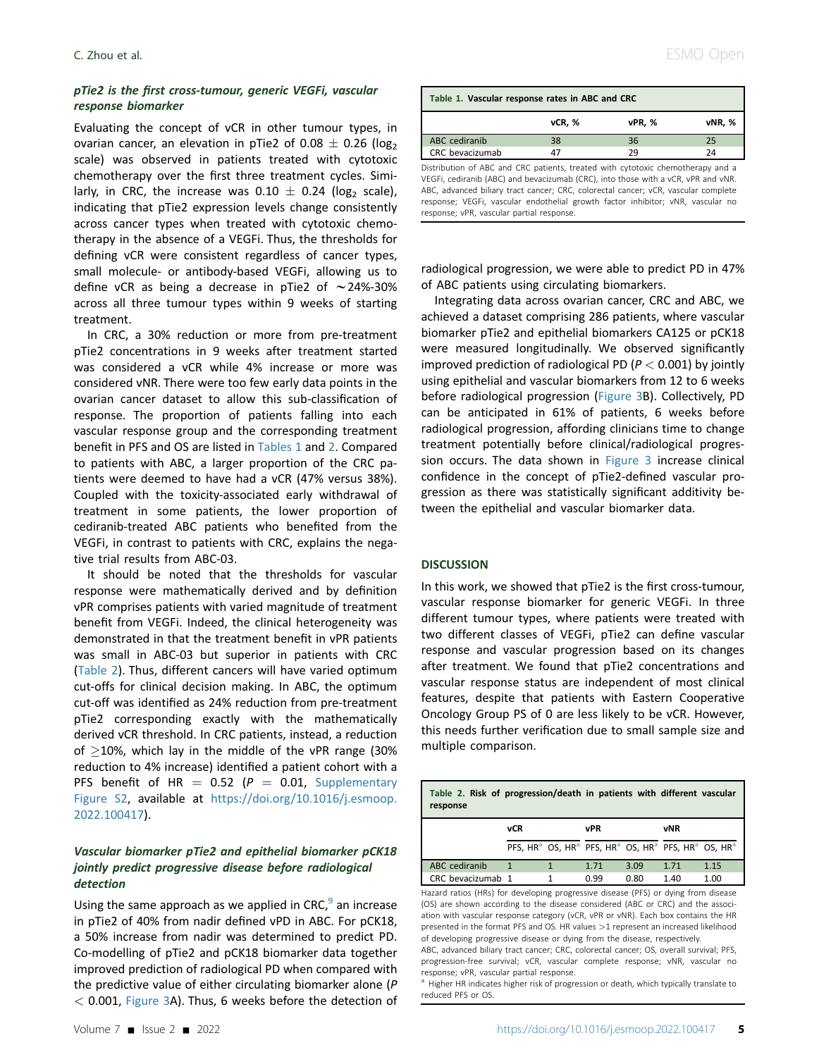## pTie2 is the first cross-tumour, generic VEGFi, vascular response biomarker

Evaluating the concept of vCR in other tumour types, in ovarian cancer, an elevation in pTie2 of  $0.08 \pm 0.26$  (log<sub>2</sub>) scale) was observed in patients treated with cytotoxic chemotherapy over the first three treatment cycles. Similarly, in CRC, the increase was  $0.10 \pm 0.24$  (log<sub>2</sub> scale), indicating that pTie2 expression levels change consistently across cancer types when treated with cytotoxic chemotherapy in the absence of a VEGFi. Thus, the thresholds for defining vCR were consistent regardless of cancer types, small molecule- or antibody-based VEGFi, allowing us to define vCR as being a decrease in pTie2 of  $\sim$  24%-30% across all three tumour types within 9 weeks of starting treatment.

In CRC, a 30% reduction or more from pre-treatment pTie2 concentrations in 9 weeks after treatment started was considered a vCR while 4% increase or more was considered vNR. There were too few early data points in the ovarian cancer dataset to allow this sub-classification of response. The proportion of patients falling into each vascular response group and the corresponding treatment benefit in PFS and OS are listed in [Tables 1](#page-4-0) and [2.](#page-4-1) Compared to patients with ABC, a larger proportion of the CRC patients were deemed to have had a vCR (47% versus 38%). Coupled with the toxicity-associated early withdrawal of treatment in some patients, the lower proportion of cediranib-treated ABC patients who benefited from the VEGFi, in contrast to patients with CRC, explains the negative trial results from ABC-03.

It should be noted that the thresholds for vascular response were mathematically derived and by definition vPR comprises patients with varied magnitude of treatment benefit from VEGFi. Indeed, the clinical heterogeneity was demonstrated in that the treatment benefit in vPR patients was small in ABC-03 but superior in patients with CRC [\(Table 2](#page-4-1)). Thus, different cancers will have varied optimum cut-offs for clinical decision making. In ABC, the optimum cut-off was identified as 24% reduction from pre-treatment pTie2 corresponding exactly with the mathematically derived vCR threshold. In CRC patients, instead, a reduction of  $\geq$ 10%, which lay in the middle of the vPR range (30% reduction to 4% increase) identified a patient cohort with a PFS benefit of HR =  $0.52$  ( $P = 0.01$ , Supplementary Figure S2, available at [https://doi.org/10.1016/j.esmoop.](https://doi.org/10.1016/j.esmoop.2022.100417) [2022.100417\)](https://doi.org/10.1016/j.esmoop.2022.100417).

# Vascular biomarker pTie2 and epithelial biomarker pCK18 jointly predict progressive disease before radiological detection

Using the same approach as we applied in CRC, $9$  an increase in pTie2 of 40% from nadir defined vPD in ABC. For pCK18, a 50% increase from nadir was determined to predict PD. Co-modelling of pTie2 and pCK18 biomarker data together improved prediction of radiological PD when compared with the predictive value of either circulating biomarker alone (P  $<$  0.001, [Figure 3](#page-5-0)A). Thus, 6 weeks before the detection of

<span id="page-4-0"></span>

| Table 1. Vascular response rates in ABC and CRC                                 |        |        |        |  |  |  |  |
|---------------------------------------------------------------------------------|--------|--------|--------|--|--|--|--|
|                                                                                 | vCR, % | vPR, % | vNR, % |  |  |  |  |
| ABC cediranib                                                                   | 38     | 36     | 25     |  |  |  |  |
| CRC bevacizumab                                                                 | 47     | 29     | 24     |  |  |  |  |
| Distribution of ABC and CRC patients, treated with cytotoxic chemotherany and a |        |        |        |  |  |  |  |

RC patients, treated with cytotoxic chemotherapy and a VEGFi, cediranib (ABC) and bevacizumab (CRC), into those with a vCR, vPR and vNR. ABC, advanced biliary tract cancer; CRC, colorectal cancer; vCR, vascular complete response; VEGFi, vascular endothelial growth factor inhibitor; vNR, vascular no response; vPR, vascular partial response.

radiological progression, we were able to predict PD in 47% of ABC patients using circulating biomarkers.

Integrating data across ovarian cancer, CRC and ABC, we achieved a dataset comprising 286 patients, where vascular biomarker pTie2 and epithelial biomarkers CA125 or pCK18 were measured longitudinally. We observed significantly improved prediction of radiological PD ( $P < 0.001$ ) by jointly using epithelial and vascular biomarkers from 12 to 6 weeks before radiological progression [\(Figure 3B](#page-5-0)). Collectively, PD can be anticipated in 61% of patients, 6 weeks before radiological progression, affording clinicians time to change treatment potentially before clinical/radiological progression occurs. The data shown in [Figure 3](#page-5-0) increase clinical confidence in the concept of pTie2-defined vascular progression as there was statistically significant additivity between the epithelial and vascular biomarker data.

#### **DISCUSSION**

In this work, we showed that pTie2 is the first cross-tumour, vascular response biomarker for generic VEGFi. In three different tumour types, where patients were treated with two different classes of VEGFi, pTie2 can define vascular response and vascular progression based on its changes after treatment. We found that pTie2 concentrations and vascular response status are independent of most clinical features, despite that patients with Eastern Cooperative Oncology Group PS of 0 are less likely to be vCR. However, this needs further verification due to small sample size and multiple comparison.

<span id="page-4-1"></span>

| Table 2. Risk of progression/death in patients with different vascular<br>response |     |  |      |      |                                                                                                                            |      |  |
|------------------------------------------------------------------------------------|-----|--|------|------|----------------------------------------------------------------------------------------------------------------------------|------|--|
|                                                                                    | vCR |  | vPR  |      | vNR                                                                                                                        |      |  |
|                                                                                    |     |  |      |      | PFS, HR <sup>a</sup> OS, HR <sup>a</sup> PFS, HR <sup>a</sup> OS, HR <sup>a</sup> PFS, HR <sup>a</sup> OS, HR <sup>a</sup> |      |  |
| ABC cediranib                                                                      | 1   |  | 1.71 | 3.09 | 1.71                                                                                                                       | 1.15 |  |
| CRC bevacizumab 1                                                                  |     |  | 0.99 | 0.80 | 1.40                                                                                                                       | 1.00 |  |

Hazard ratios (HRs) for developing progressive disease (PFS) or dying from disease (OS) are shown according to the disease considered (ABC or CRC) and the association with vascular response category (vCR, vPR or vNR). Each box contains the HR presented in the format PFS and OS. HR values >1 represent an increased likelihood of developing progressive disease or dying from the disease, respectively.

ABC, advanced biliary tract cancer; CRC, colorectal cancer; OS, overall survival; PFS, progression-free survival; vCR, vascular complete response; vNR, vascular no response; vPR, vascular partial response.

<span id="page-4-2"></span><sup>a</sup> Higher HR indicates higher risk of progression or death, which typically translate to reduced PFS or OS.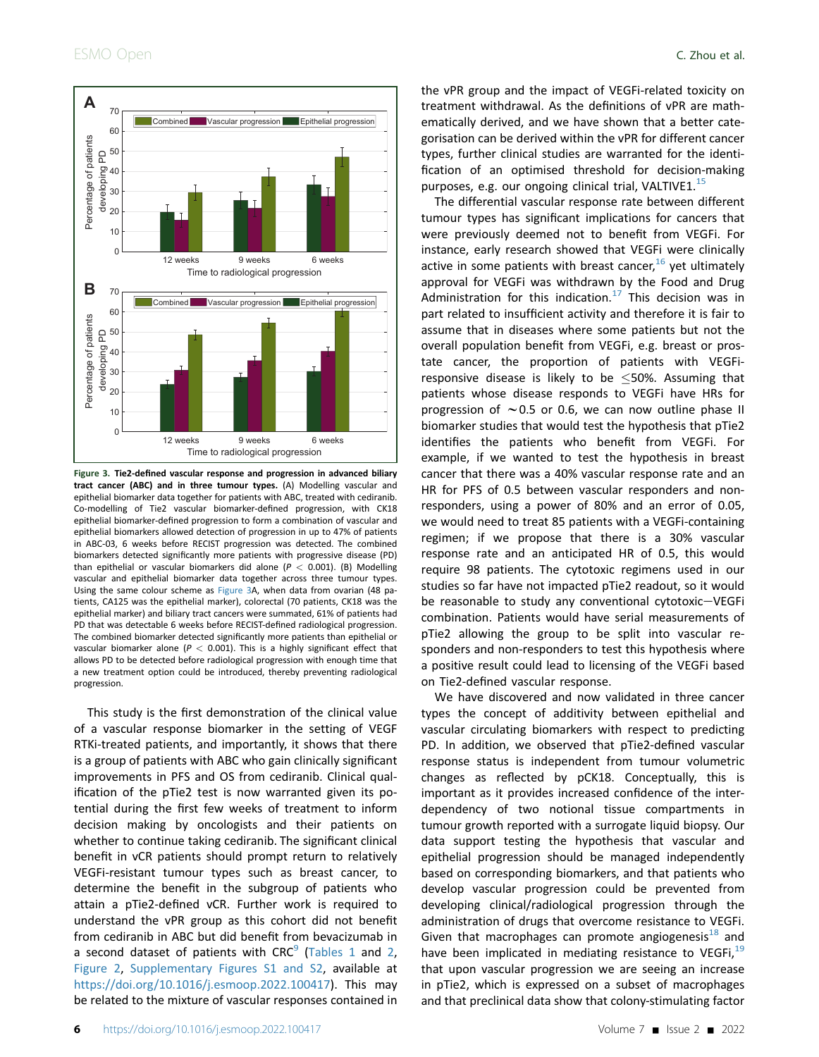<span id="page-5-0"></span>

Figure 3. Tie2-defined vascular response and progression in advanced biliary tract cancer (ABC) and in three tumour types. (A) Modelling vascular and epithelial biomarker data together for patients with ABC, treated with cediranib. Co-modelling of Tie2 vascular biomarker-defined progression, with CK18 epithelial biomarker-defined progression to form a combination of vascular and epithelial biomarkers allowed detection of progression in up to 47% of patients in ABC-03, 6 weeks before RECIST progression was detected. The combined biomarkers detected significantly more patients with progressive disease (PD) than epithelial or vascular biomarkers did alone ( $P < 0.001$ ). (B) Modelling vascular and epithelial biomarker data together across three tumour types. Using the same colour scheme as [Figure 3](#page-5-0)A, when data from ovarian (48 patients, CA125 was the epithelial marker), colorectal (70 patients, CK18 was the epithelial marker) and biliary tract cancers were summated, 61% of patients had PD that was detectable 6 weeks before RECIST-defined radiological progression. The combined biomarker detected significantly more patients than epithelial or vascular biomarker alone ( $P < 0.001$ ). This is a highly significant effect that allows PD to be detected before radiological progression with enough time that a new treatment option could be introduced, thereby preventing radiological progression.

This study is the first demonstration of the clinical value of a vascular response biomarker in the setting of VEGF RTKi-treated patients, and importantly, it shows that there is a group of patients with ABC who gain clinically significant improvements in PFS and OS from cediranib. Clinical qualification of the pTie2 test is now warranted given its potential during the first few weeks of treatment to inform decision making by oncologists and their patients on whether to continue taking cediranib. The significant clinical benefit in vCR patients should prompt return to relatively VEGFi-resistant tumour types such as breast cancer, to determine the benefit in the subgroup of patients who attain a pTie2-defined vCR. Further work is required to understand the vPR group as this cohort did not benefit from cediranib in ABC but did benefit from bevacizumab in a second dataset of patients with  $CRC<sup>9</sup>$  $CRC<sup>9</sup>$  $CRC<sup>9</sup>$  ([Tables 1](#page-4-0) and [2,](#page-4-1) [Figure 2](#page-3-0), Supplementary Figures S1 and S2, available at <https://doi.org/10.1016/j.esmoop.2022.100417>). This may be related to the mixture of vascular responses contained in the vPR group and the impact of VEGFi-related toxicity on treatment withdrawal. As the definitions of vPR are mathematically derived, and we have shown that a better categorisation can be derived within the vPR for different cancer types, further clinical studies are warranted for the identification of an optimised threshold for decision-making purposes, e.g. our ongoing clinical trial, VALTIVE1. $^{15}$  $^{15}$  $^{15}$ 

The differential vascular response rate between different tumour types has significant implications for cancers that were previously deemed not to benefit from VEGFi. For instance, early research showed that VEGFi were clinically active in some patients with breast cancer,  $16$  yet ultimately approval for VEGFi was withdrawn by the Food and Drug Administration for this indication.<sup>[17](#page-6-16)</sup> This decision was in part related to insufficient activity and therefore it is fair to assume that in diseases where some patients but not the overall population benefit from VEGFi, e.g. breast or prostate cancer, the proportion of patients with VEGFiresponsive disease is likely to be  $\leq$  50%. Assuming that patients whose disease responds to VEGFi have HRs for progression of  $\sim$  0.5 or 0.6, we can now outline phase II biomarker studies that would test the hypothesis that pTie2 identifies the patients who benefit from VEGFi. For example, if we wanted to test the hypothesis in breast cancer that there was a 40% vascular response rate and an HR for PFS of 0.5 between vascular responders and nonresponders, using a power of 80% and an error of 0.05, we would need to treat 85 patients with a VEGFi-containing regimen; if we propose that there is a 30% vascular response rate and an anticipated HR of 0.5, this would require 98 patients. The cytotoxic regimens used in our studies so far have not impacted pTie2 readout, so it would be reasonable to study any conventional cytotoxic $-VEGFi$ combination. Patients would have serial measurements of pTie2 allowing the group to be split into vascular responders and non-responders to test this hypothesis where a positive result could lead to licensing of the VEGFi based on Tie2-defined vascular response.

We have discovered and now validated in three cancer types the concept of additivity between epithelial and vascular circulating biomarkers with respect to predicting PD. In addition, we observed that pTie2-defined vascular response status is independent from tumour volumetric changes as reflected by pCK18. Conceptually, this is important as it provides increased confidence of the interdependency of two notional tissue compartments in tumour growth reported with a surrogate liquid biopsy. Our data support testing the hypothesis that vascular and epithelial progression should be managed independently based on corresponding biomarkers, and that patients who develop vascular progression could be prevented from developing clinical/radiological progression through the administration of drugs that overcome resistance to VEGFi. Given that macrophages can promote angiogenesis $18$  and have been implicated in mediating resistance to VEGFi,<sup>[19](#page-6-18)</sup> that upon vascular progression we are seeing an increase in pTie2, which is expressed on a subset of macrophages and that preclinical data show that colony-stimulating factor